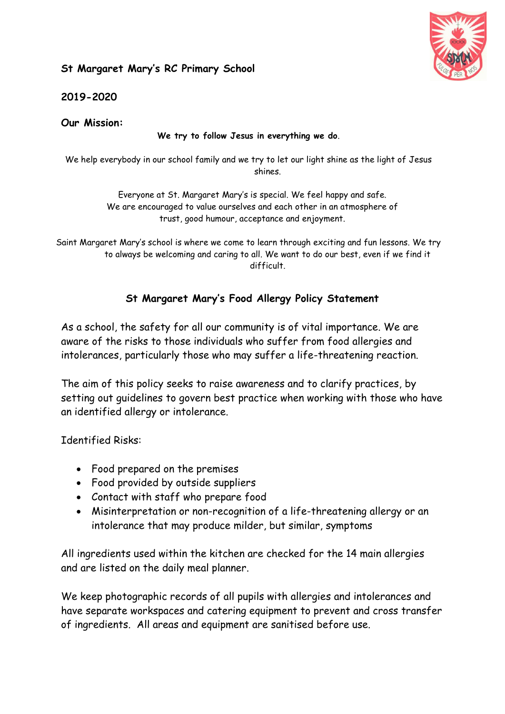## **St Margaret Mary's RC Primary School**



**2019-2020**

**Our Mission:**

## **We try to follow Jesus in everything we do**.

We help everybody in our school family and we try to let our light shine as the light of Jesus shines.

> Everyone at St. Margaret Mary's is special. We feel happy and safe. We are encouraged to value ourselves and each other in an atmosphere of trust, good humour, acceptance and enjoyment.

Saint Margaret Mary's school is where we come to learn through exciting and fun lessons. We try to always be welcoming and caring to all. We want to do our best, even if we find it difficult.

## **St Margaret Mary's Food Allergy Policy Statement**

As a school, the safety for all our community is of vital importance. We are aware of the risks to those individuals who suffer from food allergies and intolerances, particularly those who may suffer a life-threatening reaction.

The aim of this policy seeks to raise awareness and to clarify practices, by setting out guidelines to govern best practice when working with those who have an identified allergy or intolerance.

Identified Risks:

- Food prepared on the premises
- Food provided by outside suppliers
- Contact with staff who prepare food
- Misinterpretation or non-recognition of a life-threatening allergy or an intolerance that may produce milder, but similar, symptoms

All ingredients used within the kitchen are checked for the 14 main allergies and are listed on the daily meal planner.

We keep photographic records of all pupils with allergies and intolerances and have separate workspaces and catering equipment to prevent and cross transfer of ingredients. All areas and equipment are sanitised before use.